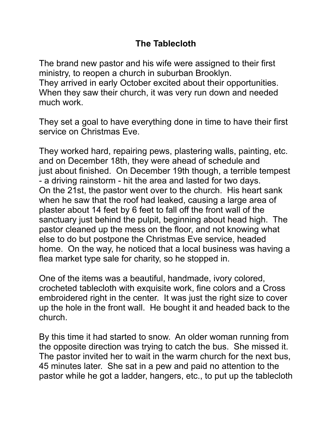## **The Tablecloth**

The brand new pastor and his wife were assigned to their first ministry, to reopen a church in suburban Brooklyn. They arrived in early October excited about their opportunities. When they saw their church, it was very run down and needed much work.

They set a goal to have everything done in time to have their first service on Christmas Eve.

They worked hard, repairing pews, plastering walls, painting, etc. and on December 18th, they were ahead of schedule and just about finished. On December 19th though, a terrible tempest - a driving rainstorm - hit the area and lasted for two days. On the 21st, the pastor went over to the church. His heart sank when he saw that the roof had leaked, causing a large area of plaster about 14 feet by 6 feet to fall off the front wall of the sanctuary just behind the pulpit, beginning about head high. The pastor cleaned up the mess on the floor, and not knowing what else to do but postpone the Christmas Eve service, headed home. On the way, he noticed that a local business was having a flea market type sale for charity, so he stopped in.

One of the items was a beautiful, handmade, ivory colored, crocheted tablecloth with exquisite work, fine colors and a Cross embroidered right in the center. It was just the right size to cover up the hole in the front wall. He bought it and headed back to the church.

By this time it had started to snow. An older woman running from the opposite direction was trying to catch the bus. She missed it. The pastor invited her to wait in the warm church for the next bus, 45 minutes later. She sat in a pew and paid no attention to the pastor while he got a ladder, hangers, etc., to put up the tablecloth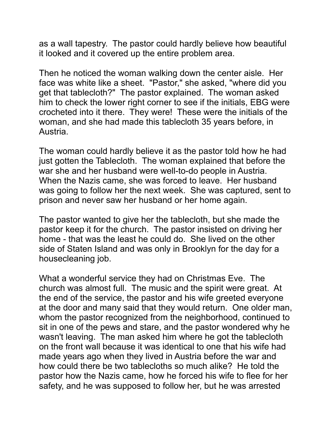as a wall tapestry. The pastor could hardly believe how beautiful it looked and it covered up the entire problem area.

Then he noticed the woman walking down the center aisle. Her face was white like a sheet. "Pastor," she asked, "where did you get that tablecloth?" The pastor explained. The woman asked him to check the lower right corner to see if the initials, EBG were crocheted into it there. They were! These were the initials of the woman, and she had made this tablecloth 35 years before, in Austria.

The woman could hardly believe it as the pastor told how he had just gotten the Tablecloth. The woman explained that before the war she and her husband were well-to-do people in Austria. When the Nazis came, she was forced to leave. Her husband was going to follow her the next week. She was captured, sent to prison and never saw her husband or her home again.

The pastor wanted to give her the tablecloth, but she made the pastor keep it for the church. The pastor insisted on driving her home - that was the least he could do. She lived on the other side of Staten Island and was only in Brooklyn for the day for a housecleaning job.

What a wonderful service they had on Christmas Eve. The church was almost full. The music and the spirit were great. At the end of the service, the pastor and his wife greeted everyone at the door and many said that they would return. One older man, whom the pastor recognized from the neighborhood, continued to sit in one of the pews and stare, and the pastor wondered why he wasn't leaving. The man asked him where he got the tablecloth on the front wall because it was identical to one that his wife had made years ago when they lived in Austria before the war and how could there be two tablecloths so much alike? He told the pastor how the Nazis came, how he forced his wife to flee for her safety, and he was supposed to follow her, but he was arrested